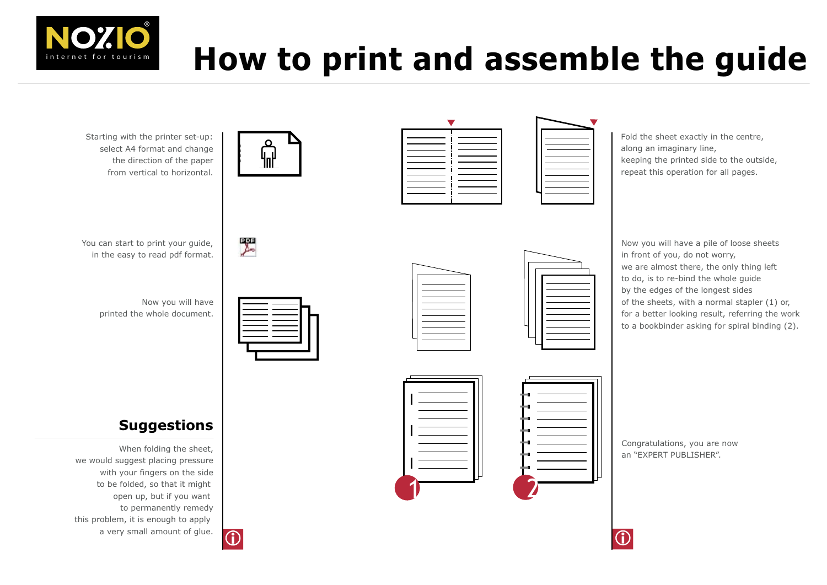

# **How to print and assemble the guide**

Starting with the printer set-up: select A4 format and change the direction of the paper from vertical to horizontal.



翆

You can start to print your guide, in the easy to read pdf format.

Now you will have printed the whole document.



# **Suggestions**

When folding the sheet, we would suggest placing pressure with your fingers on the side to be folded, so that it might open up, but if you want to permanently remedy this problem, it is enough to apply a very small amount of glue.



| _______  | _____   |  |  |
|----------|---------|--|--|
|          | _______ |  |  |
|          | ____    |  |  |
| _______  |         |  |  |
| _______  | ______  |  |  |
| _______  | _______ |  |  |
|          |         |  |  |
|          |         |  |  |
| _______  | _______ |  |  |
|          |         |  |  |
| ________ |         |  |  |
|          |         |  |  |
|          |         |  |  |



Fold the sheet exactly in the centre, along an imaginary line, keeping the printed side to the outside, repeat this operation for all pages.



Now you will have a pile of loose sheets in front of you, do not worry, we are almost there, the only thing left to do, is to re-bind the whole guide by the edges of the longest sides of the sheets, with a normal stapler (1) or, for a better looking result, referring the work to a bookbinder asking for spiral binding (2).



Congratulations, you are now an "EXPERT PUBLISHER".

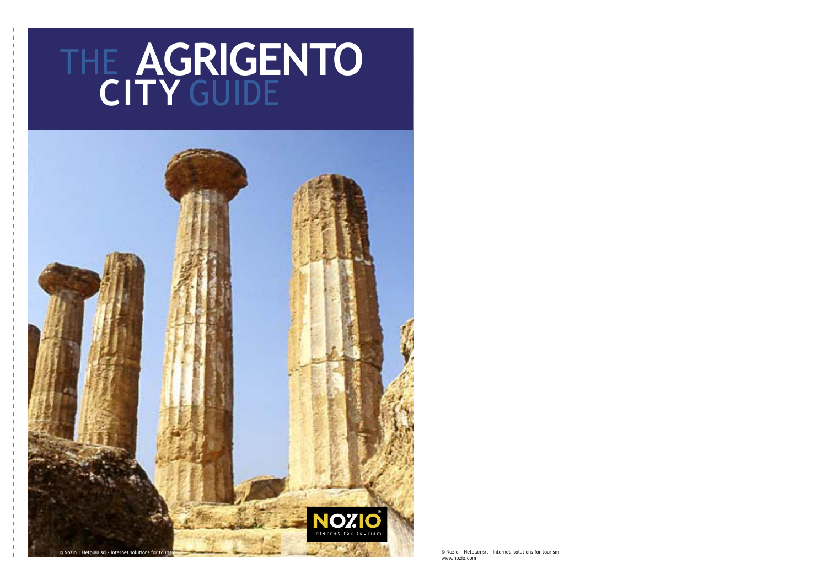# **AGRIGENTO CITY**  THE GUIDE



© Nozio | Netplan srl - Internet solutions for tourism www.nozio.com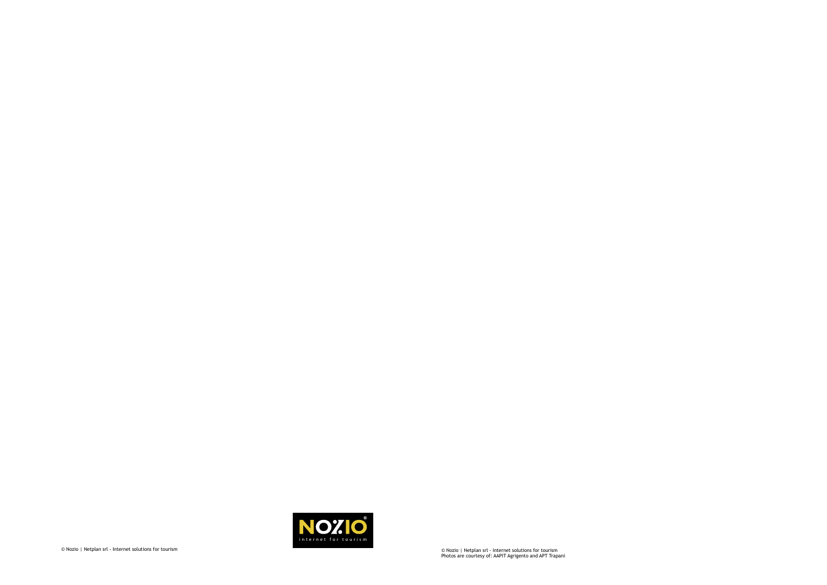

© Nozio | Netplan srl - Internet solutions for tourism Photos are courtesy of: AAPIT Agrigento and APT Trapani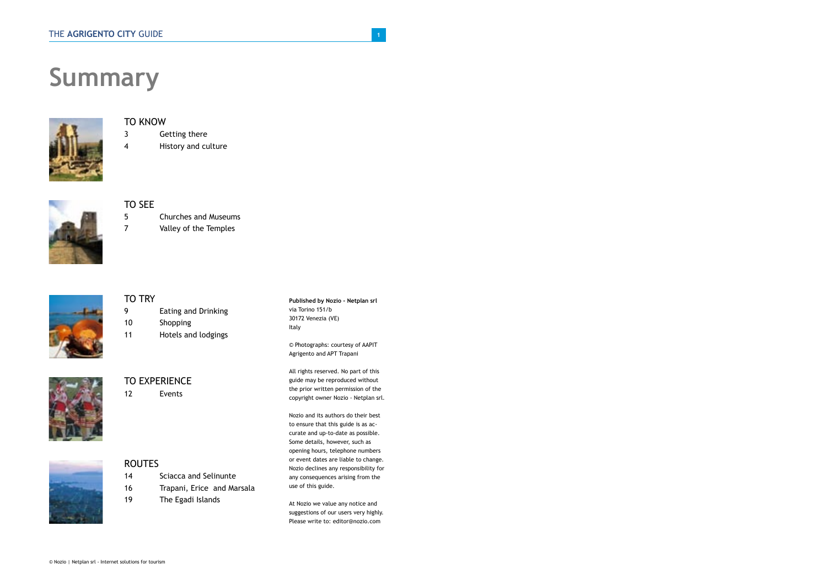# **Summary**



# TO KNOW

- 3 Getting there
- 4 History and culture



# TO SEE

5 Churches and Museums

7 Valley of the Temples



# TO TRY

9 Eating and Drinking 10 Shopping 11 Hotels and lodgings



# TO EXPERIENCE

12 Events



# **ROUTES**

14 Sciacca and Selinunte

- 16 Trapani, Erice and Marsala
- 19 The Egadi Islands

**Published by Nozio - Netplan srl** via Torino 151/b 30172 Venezia (VE) Italy

© Photographs: courtesy of AAPIT Agrigento and APT Trapani

All rights reserved. No part of this guide may be reproduced without the prior written permission of the copyright owner Nozio - Netplan srl.

Nozio and its authors do their best to ensure that this guide is as accurate and up-to-date as possible. Some details, however, such as opening hours, telephone numbers or event dates are liable to change. Nozio declines any responsibility for any consequences arising from the use of this guide.

At Nozio we value any notice and suggestions of our users very highly. Please write to: editor@nozio.com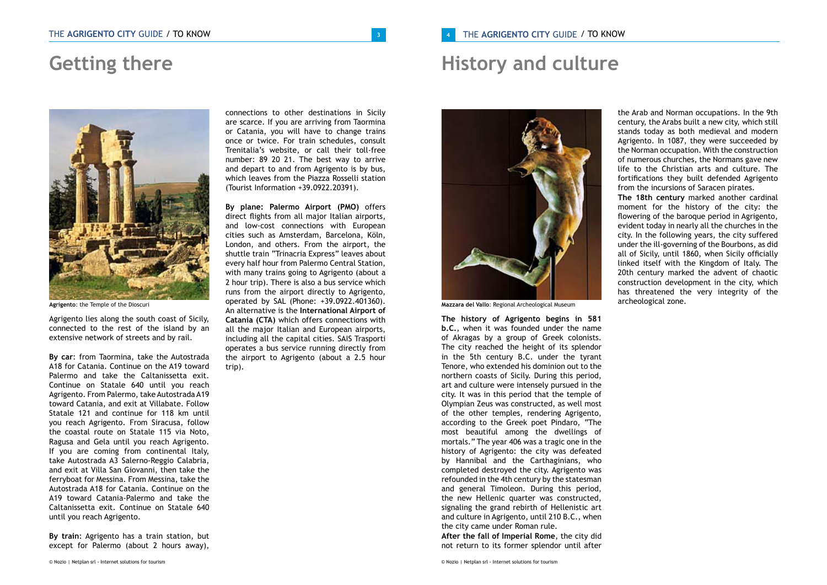# **Getting there**



**Agrigento**: the Temple of the Dioscuri

Agrigento lies along the south coast of Sicily, connected to the rest of the island by an extensive network of streets and by rail.

**By car**: from Taormina, take the Autostrada A18 for Catania. Continue on the A19 toward Palermo and take the Caltanissetta exit. Continue on Statale 640 until you reach Agrigento. From Palermo, take Autostrada A19 toward Catania, and exit at Villabate. Follow Statale 121 and continue for 118 km until you reach Agrigento. From Siracusa, follow the coastal route on Statale 115 via Noto, Ragusa and Gela until you reach Agrigento. If you are coming from continental Italy, take Autostrada A3 Salerno-Reggio Calabria, and exit at Villa San Giovanni, then take the ferryboat for Messina. From Messina, take the Autostrada A18 for Catania. Continue on the A19 toward Catania-Palermo and take the Caltanissetta exit. Continue on Statale 640 until you reach Agrigento.

**By train**: Agrigento has a train station, but except for Palermo (about 2 hours away),

connections to other destinations in Sicily are scarce. If you are arriving from Taormina or Catania, you will have to change trains once or twice. For train schedules, consult Trenitalia's website, or call their toll-free number: 89 20 21. The best way to arrive and depart to and from Agrigento is by bus, which leaves from the Piazza Rosselli station (Tourist Information +39.0922.20391).

**By plane: Palermo Airport (PMO)** offers direct flights from all major Italian airports, and low-cost connections with European cities such as Amsterdam, Barcelona, Köln, London, and others. From the airport, the shuttle train "Trinacria Express" leaves about every half hour from Palermo Central Station, with many trains going to Agrigento (about a 2 hour trip). There is also a bus service which runs from the airport directly to Agrigento, operated by SAL (Phone: +39.0922.401360). An alternative is the **International Airport of Catania (CTA)** which offers connections with all the major Italian and European airports, including all the capital cities. SAIS Trasporti operates a bus service running directly from the airport to Agrigento (about a 2.5 hour trip).

# **History and culture**



**Mazzara del Vallo**: Regional Archeological Museum

**The history of Agrigento begins in 581 b.C.**, when it was founded under the name of Akragas by a group of Greek colonists. The city reached the height of its splendor in the 5th century B.C. under the tyrant Tenore, who extended his dominion out to the northern coasts of Sicily. During this period, art and culture were intensely pursued in the city. It was in this period that the temple of Olympian Zeus was constructed, as well most of the other temples, rendering Agrigento, according to the Greek poet Pindaro, "The most beautiful among the dwellings of mortals." The year 406 was a tragic one in the history of Agrigento: the city was defeated by Hannibal and the Carthaginians, who completed destroyed the city. Agrigento was refounded in the 4th century by the statesman and general Timoleon. During this period, the new Hellenic quarter was constructed, signaling the grand rebirth of Hellenistic art and culture in Agrigento, until 210 B.C., when the city came under Roman rule.

**After the fall of Imperial Rome**, the city did not return to its former splendor until after

the Arab and Norman occupations. In the 9th century, the Arabs built a new city, which still stands today as both medieval and modern Agrigento. In 1087, they were succeeded by the Norman occupation. With the construction of numerous churches, the Normans gave new life to the Christian arts and culture. The fortifications they built defended Agrigento from the incursions of Saracen pirates. **The 18th century** marked another cardinal moment for the history of the city: the flowering of the baroque period in Agrigento, evident today in nearly all the churches in the city. In the following years, the city suffered under the ill-governing of the Bourbons, as did

all of Sicily, until 1860, when Sicily officially linked itself with the Kingdom of Italy. The 20th century marked the advent of chaotic construction development in the city, which has threatened the very integrity of the archeological zone.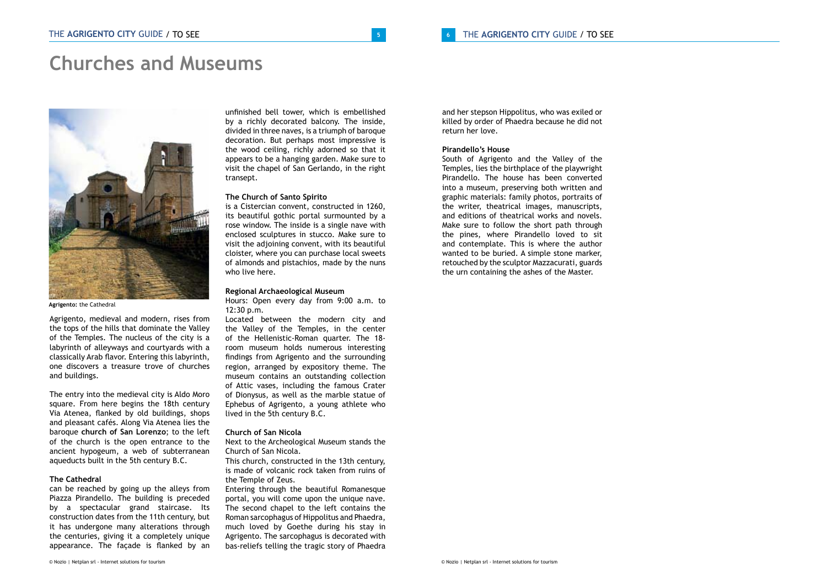# **Churches and Museums**



**Agrigento:** the Cathedral

Agrigento, medieval and modern, rises from the tops of the hills that dominate the Valley of the Temples. The nucleus of the city is a labyrinth of alleyways and courtyards with a classically Arab flavor. Entering this labyrinth, one discovers a treasure trove of churches and buildings.

The entry into the medieval city is Aldo Moro square. From here begins the 18th century Via Atenea, flanked by old buildings, shops and pleasant cafés. Along Via Atenea lies the baroque **church of San Lorenzo**; to the left of the church is the open entrance to the ancient hypogeum, a web of subterranean aqueducts built in the 5th century B.C.

### **The Cathedral**

can be reached by going up the alleys from Piazza Pirandello. The building is preceded by a spectacular grand staircase. Its construction dates from the 11th century, but it has undergone many alterations through the centuries, giving it a completely unique appearance. The façade is flanked by an

unfinished bell tower, which is embellished by a richly decorated balcony. The inside, divided in three naves, is a triumph of baroque decoration. But perhaps most impressive is the wood ceiling, richly adorned so that it appears to be a hanging garden. Make sure to visit the chapel of San Gerlando, in the right transept.

# **The Church of Santo Spirito**

is a Cistercian convent, constructed in 1260, its beautiful gothic portal surmounted by a rose window. The inside is a single nave with enclosed sculptures in stucco. Make sure to visit the adjoining convent, with its beautiful cloister, where you can purchase local sweets of almonds and pistachios, made by the nuns who live here.

### **Regional Archaeological Museum**

Hours: Open every day from 9:00 a.m. to 12:30 p.m.

Located between the modern city and the Valley of the Temples, in the center of the Hellenistic-Roman quarter. The 18 room museum holds numerous interesting findings from Agrigento and the surrounding region, arranged by expository theme. The museum contains an outstanding collection of Attic vases, including the famous Crater of Dionysus, as well as the marble statue of Ephebus of Agrigento, a young athlete who lived in the 5th century B.C.

# **Church of San Nicola**

Next to the Archeological Museum stands the Church of San Nicola.

This church, constructed in the 13th century, is made of volcanic rock taken from ruins of the Temple of Zeus.

Entering through the beautiful Romanesque portal, you will come upon the unique nave. The second chapel to the left contains the Roman sarcophagus of Hippolitus and Phaedra, much loved by Goethe during his stay in Agrigento. The sarcophagus is decorated with bas-reliefs telling the tragic story of Phaedra and her stepson Hippolitus, who was exiled or killed by order of Phaedra because he did not return her love.

# **Pirandello's House**

South of Agrigento and the Valley of the Temples, lies the birthplace of the playwright Pirandello. The house has been converted into a museum, preserving both written and graphic materials: family photos, portraits of the writer, theatrical images, manuscripts, and editions of theatrical works and novels. Make sure to follow the short path through the pines, where Pirandello loved to sit and contemplate. This is where the author wanted to be buried. A simple stone marker, retouched by the sculptor Mazzacurati, guards the urn containing the ashes of the Master.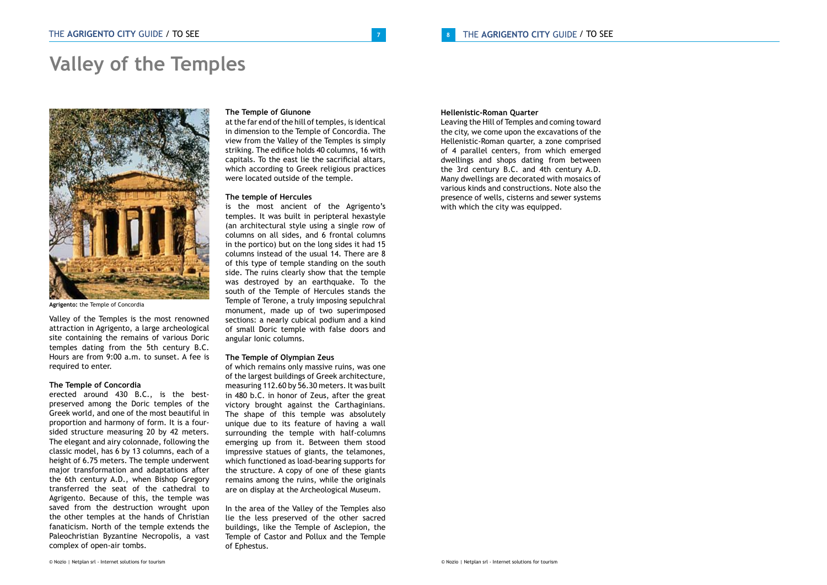# **Valley of the Temples**



**Agrigento:** the Temple of Concordia

Valley of the Temples is the most renowned attraction in Agrigento, a large archeological site containing the remains of various Doric temples dating from the 5th century B.C. Hours are from 9:00 a.m. to sunset. A fee is required to enter.

### **The Temple of Concordia**

erected around 430 B.C., is the bestpreserved among the Doric temples of the Greek world, and one of the most beautiful in proportion and harmony of form. It is a foursided structure measuring 20 by 42 meters. The elegant and airy colonnade, following the classic model, has 6 by 13 columns, each of a height of 6.75 meters. The temple underwent major transformation and adaptations after the 6th century A.D., when Bishop Gregory transferred the seat of the cathedral to Agrigento. Because of this, the temple was saved from the destruction wrought upon the other temples at the hands of Christian fanaticism. North of the temple extends the Paleochristian Byzantine Necropolis, a vast complex of open-air tombs.

### **The Temple of Giunone**

at the far end of the hill of temples, is identical in dimension to the Temple of Concordia. The view from the Valley of the Temples is simply striking. The edifice holds 40 columns, 16 with capitals. To the east lie the sacrificial altars, which according to Greek religious practices were located outside of the temple.

### **The temple of Hercules**

is the most ancient of the Agrigento's temples. It was built in peripteral hexastyle (an architectural style using a single row of columns on all sides, and 6 frontal columns in the portico) but on the long sides it had 15 columns instead of the usual 14. There are 8 of this type of temple standing on the south side. The ruins clearly show that the temple was destroyed by an earthquake. To the south of the Temple of Hercules stands the Temple of Terone, a truly imposing sepulchral monument, made up of two superimposed sections: a nearly cubical podium and a kind of small Doric temple with false doors and angular Ionic columns.

### **The Temple of Olympian Zeus**

of which remains only massive ruins, was one of the largest buildings of Greek architecture, measuring 112.60 by 56.30 meters. It was built in 480 b.C. in honor of Zeus, after the great victory brought against the Carthaginians. The shape of this temple was absolutely unique due to its feature of having a wall surrounding the temple with half-columns emerging up from it. Between them stood impressive statues of giants, the telamones, which functioned as load-bearing supports for the structure. A copy of one of these giants remains among the ruins, while the originals are on display at the Archeological Museum.

In the area of the Valley of the Temples also lie the less preserved of the other sacred buildings, like the Temple of Asclepion, the Temple of Castor and Pollux and the Temple of Ephestus.

# **Hellenistic-Roman Quarter**

Leaving the Hill of Temples and coming toward the city, we come upon the excavations of the Hellenistic-Roman quarter, a zone comprised of 4 parallel centers, from which emerged dwellings and shops dating from between the 3rd century B.C. and 4th century A.D. Many dwellings are decorated with mosaics of various kinds and constructions. Note also the presence of wells, cisterns and sewer systems with which the city was equipped.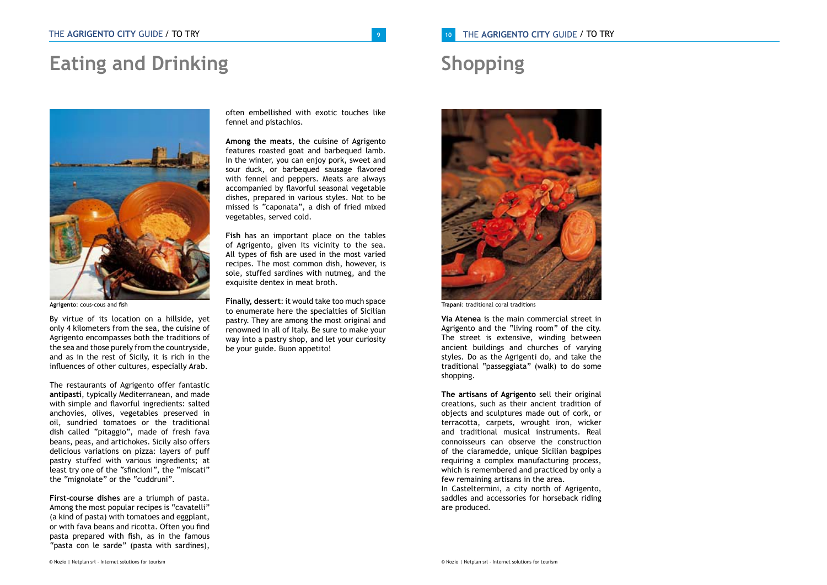# **Eating and Drinking**



**Agrigento**: cous-cous and fish

By virtue of its location on a hillside, yet only 4 kilometers from the sea, the cuisine of Agrigento encompasses both the traditions of the sea and those purely from the countryside, and as in the rest of Sicily, it is rich in the influences of other cultures, especially Arab.

The restaurants of Agrigento offer fantastic **antipasti**, typically Mediterranean, and made with simple and flavorful ingredients: salted anchovies, olives, vegetables preserved in oil, sundried tomatoes or the traditional dish called "pitaggio", made of fresh fava beans, peas, and artichokes. Sicily also offers delicious variations on pizza: layers of puff pastry stuffed with various ingredients; at least try one of the "sfincioni", the "miscati" the "mignolate" or the "cuddruni".

**First-course dishes** are a triumph of pasta. Among the most popular recipes is "cavatelli" (a kind of pasta) with tomatoes and eggplant, or with fava beans and ricotta. Often you find pasta prepared with fish, as in the famous "pasta con le sarde" (pasta with sardines),

often embellished with exotic touches like fennel and pistachios.

**Among the meats**, the cuisine of Agrigento features roasted goat and barbequed lamb. In the winter, you can enjoy pork, sweet and sour duck, or barbequed sausage flavored with fennel and peppers. Meats are always accompanied by flavorful seasonal vegetable dishes, prepared in various styles. Not to be missed is "caponata", a dish of fried mixed vegetables, served cold.

**Fish** has an important place on the tables of Agrigento, given its vicinity to the sea. All types of fish are used in the most varied recipes. The most common dish, however, is sole, stuffed sardines with nutmeg, and the exquisite dentex in meat broth.

**Finally, dessert**: it would take too much space to enumerate here the specialties of Sicilian pastry. They are among the most original and renowned in all of Italy. Be sure to make your way into a pastry shop, and let your curiosity be your guide. Buon appetito!

# **<sup>10</sup>** THE **AGRIGENTO CITY** GUIDE / TO TRY / TO TRY

# **Shopping**



**Trapani**: traditional coral traditions

**Via Atenea** is the main commercial street in Agrigento and the "living room" of the city. The street is extensive, winding between ancient buildings and churches of varying styles. Do as the Agrigenti do, and take the traditional "passeggiata" (walk) to do some shopping.

**The artisans of Agrigento** sell their original creations, such as their ancient tradition of objects and sculptures made out of cork, or terracotta, carpets, wrought iron, wicker and traditional musical instruments. Real connoisseurs can observe the construction of the ciaramedde, unique Sicilian bagpipes requiring a complex manufacturing process, which is remembered and practiced by only a few remaining artisans in the area. In Casteltermini, a city north of Agrigento, saddles and accessories for horseback riding are produced.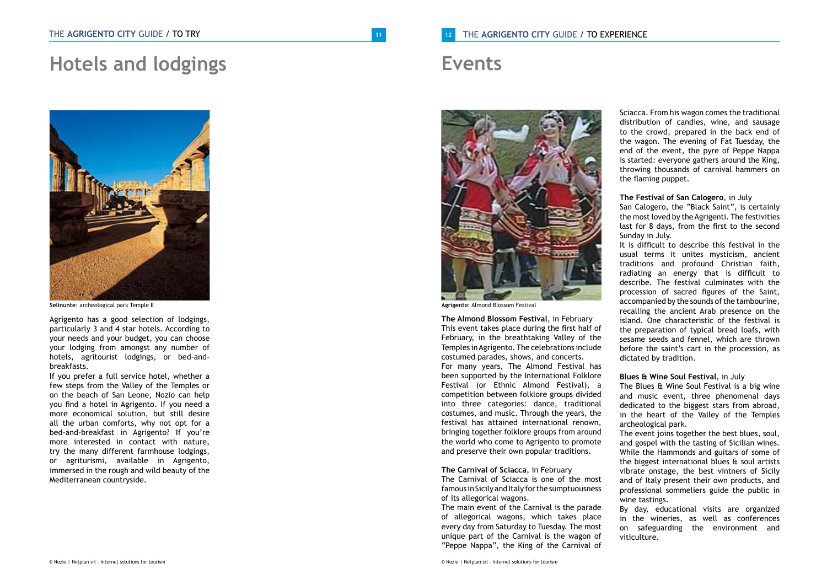# **Hotels and lodgings**



**Selinunte**: archeological park Temple E

Agrigento has a good selection of lodgings, particularly 3 and 4 star hotels. According to your needs and your budget, you can choose your lodging from amongst any number of hotels, agritourist lodgings, or bed-andbreakfasts.

If you prefer a full service hotel, whether a few steps from the Valley of the Temples or on the beach of San Leone, Nozio can help you find a hotel in Agrigento. If you need a more economical solution, but still desire all the urban comforts, why not opt for a bed-and-breakfast in Agrigento? If you're more interested in contact with nature, try the many different farmhouse lodgings, or agriturismi, available in Agrigento, immersed in the rough and wild beauty of the Mediterranean countryside.

# / **12** THE AGRIGENTO CITY GUIDE / TO EXPERIENCE

# **Events**



**Agrigento**: Almond Blossom Festival

**The Almond Blossom Festival**, in February This event takes place during the first half of February, in the breathtaking Valley of the Temples in Agrigento. The celebrations include costumed parades, shows, and concerts. For many years, The Almond Festival has been supported by the International Folklore Festival (or Ethnic Almond Festival), a competition between folklore groups divided into three categories: dance, traditional costumes, and music. Through the years, the festival has attained international renown, bringing together folklore groups from around the world who come to Agrigento to promote and preserve their own popular traditions.

### **The Carnival of Sciacca**, in February

The Carnival of Sciacca is one of the most famous in Sicily and Italy for the sumptuousness of its allegorical wagons.

The main event of the Carnival is the parade of allegorical wagons, which takes place every day from Saturday to Tuesday. The most unique part of the Carnival is the wagon of "Peppe Nappa", the King of the Carnival of

Sciacca. From his wagon comes the traditional distribution of candies, wine, and sausage to the crowd, prepared in the back end of the wagon. The evening of Fat Tuesday, the end of the event, the pyre of Peppe Nappa is started: everyone gathers around the King, throwing thousands of carnival hammers on the flaming puppet.

### **The Festival of San Calogero**, in July

San Calogero, the "Black Saint", is certainly the most loved by the Agrigenti. The festivities last for 8 days, from the first to the second Sunday in July.

It is difficult to describe this festival in the usual terms it unites mysticism, ancient traditions and profound Christian faith, radiating an energy that is difficult to describe. The festival culminates with the procession of sacred figures of the Saint, accompanied by the sounds of the tambourine, recalling the ancient Arab presence on the island. One characteristic of the festival is the preparation of typical bread loafs, with sesame seeds and fennel, which are thrown before the saint's cart in the procession, as dictated by tradition.

# **Blues & Wine Soul Festival**, in July

The Blues & Wine Soul Festival is a big wine and music event, three phenomenal days dedicated to the biggest stars from abroad, in the heart of the Valley of the Temples archeological park.

The event joins together the best blues, soul, and gospel with the tasting of Sicilian wines. While the Hammonds and guitars of some of the biggest international blues & soul artists vibrate onstage, the best vintners of Sicily and of Italy present their own products, and professional sommeliers guide the public in wine tastings.

By day, educational visits are organized in the wineries, as well as conferences on safeguarding the environment and viticulture.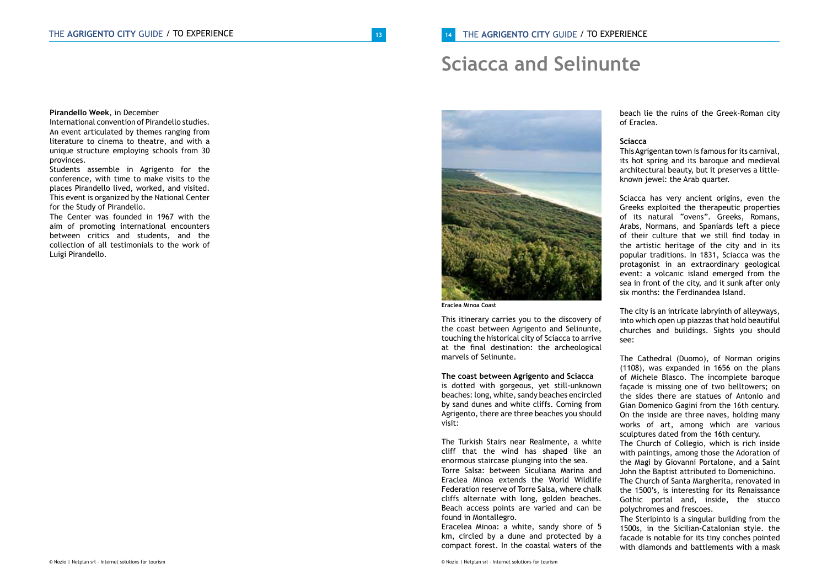# **Sciacca and Selinunte**



**Eraclea Minoa Coast**

This itinerary carries you to the discovery of the coast between Agrigento and Selinunte, touching the historical city of Sciacca to arrive at the final destination: the archeological marvels of Selinunte.

**The coast between Agrigento and Sciacca**

is dotted with gorgeous, yet still-unknown beaches: long, white, sandy beaches encircled by sand dunes and white cliffs. Coming from Agrigento, there are three beaches you should visit:

The Turkish Stairs near Realmente, a white cliff that the wind has shaped like an enormous staircase plunging into the sea. Torre Salsa: between Siculiana Marina and Eraclea Minoa extends the World Wildlife Federation reserve of Torre Salsa, where chalk cliffs alternate with long, golden beaches. Beach access points are varied and can be found in Montallegro.

Eracelea Minoa: a white, sandy shore of 5 km, circled by a dune and protected by a compact forest. In the coastal waters of the

beach lie the ruins of the Greek-Roman city of Eraclea.

# **Sciacca**

This Agrigentan town is famous for its carnival, its hot spring and its baroque and medieval architectural beauty, but it preserves a littleknown jewel: the Arab quarter.

Sciacca has very ancient origins, even the Greeks exploited the therapeutic properties of its natural "ovens". Greeks, Romans, Arabs, Normans, and Spaniards left a piece of their culture that we still find today in the artistic heritage of the city and in its popular traditions. In 1831, Sciacca was the protagonist in an extraordinary geological event: a volcanic island emerged from the sea in front of the city, and it sunk after only six months: the Ferdinandea Island

The city is an intricate labryinth of alleyways, into which open up piazzas that hold beautiful churches and buildings. Sights you should see:

The Cathedral (Duomo), of Norman origins (1108), was expanded in 1656 on the plans of Michele Blasco. The incomplete baroque façade is missing one of two belltowers; on the sides there are statues of Antonio and Gian Domenico Gagini from the 16th century. On the inside are three naves, holding many works of art, among which are various sculptures dated from the 16th century. The Church of Collegio, which is rich inside with paintings, among those the Adoration of the Magi by Giovanni Portalone, and a Saint John the Baptist attributed to Domenichino. The Church of Santa Margherita, renovated in the 1500's, is interesting for its Renaissance Gothic portal and, inside, the stucco polychromes and frescoes.

The Steripinto is a singular building from the 1500s, in the Sicilian-Catalonian style. the facade is notable for its tiny conches pointed with diamonds and battlements with a mask

**Pirandello Week**, in December International convention of Pirandello studies. An event articulated by themes ranging from literature to cinema to theatre, and with a unique structure employing schools from 30

provinces. Students assemble in Agrigento for the conference, with time to make visits to the places Pirandello lived, worked, and visited. This event is organized by the National Center for the Study of Pirandello.

The Center was founded in 1967 with the aim of promoting international encounters between critics and students, and the collection of all testimonials to the work of Luigi Pirandello.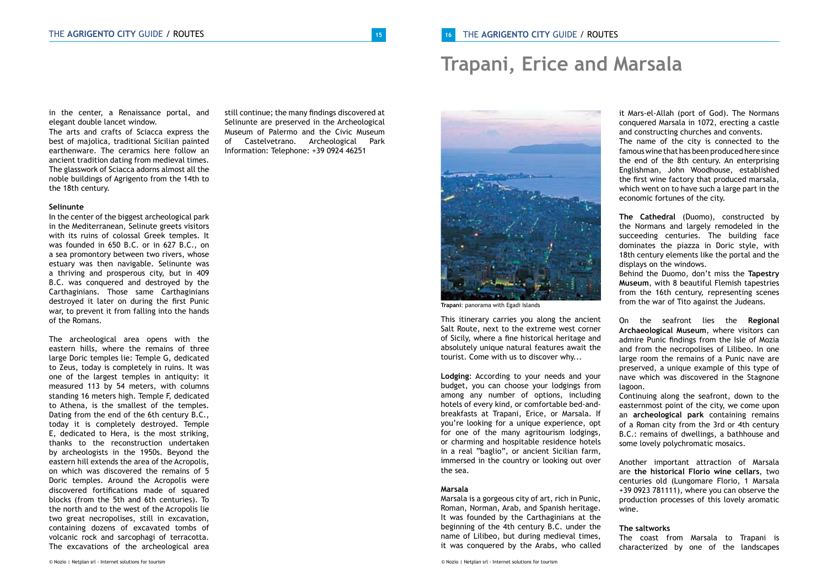# **Trapani, Erice and Marsala**

in the center, a Renaissance portal, and elegant double lancet window.

The arts and crafts of Sciacca express the best of majolica, traditional Sicilian painted earthenware. The ceramics here follow an ancient tradition dating from medieval times. The glasswork of Sciacca adorns almost all the noble buildings of Agrigento from the 14th to the 18th century.

## **Selinunte**

In the center of the biggest archeological park in the Mediterranean, Selinute greets visitors with its ruins of colossal Greek temples. It was founded in 650 B.C. or in 627 B.C., on a sea promontory between two rivers, whose estuary was then navigable. Selinunte was a thriving and prosperous city, but in 409 B.C. was conquered and destroyed by the Carthaginians. Those same Carthaginians destroyed it later on during the first Punic war, to prevent it from falling into the hands of the Romans.

The archeological area opens with the eastern hills, where the remains of three large Doric temples lie: Temple G, dedicated to Zeus, today is completely in ruins. It was one of the largest temples in antiquity: it measured 113 by 54 meters, with columns standing 16 meters high. Temple F, dedicated to Athena, is the smallest of the temples. Dating from the end of the 6th century B.C., today it is completely destroyed. Temple E, dedicated to Hera, is the most striking, thanks to the reconstruction undertaken by archeologists in the 1950s. Beyond the eastern hill extends the area of the Acropolis, on which was discovered the remains of 5 Doric temples. Around the Acropolis were discovered fortifications made of squared blocks (from the 5th and 6th centuries). To the north and to the west of the Acropolis lie two great necropolises, still in excavation, containing dozens of excavated tombs of volcanic rock and sarcophagi of terracotta. The excavations of the archeological area

still continue; the many findings discovered at Selinunte are preserved in the Archeological Museum of Palermo and the Civic Museum of Castelvetrano. Archeological Park Information: Telephone: +39 0924 46251



**Trapani**: panorama with Egadi Islands

This itinerary carries you along the ancient Salt Route, next to the extreme west corner of Sicily, where a fine historical heritage and absolutely unique natural features await the tourist. Come with us to discover why...

**Lodging**: According to your needs and your budget, you can choose your lodgings from among any number of options, including hotels of every kind, or comfortable bed-andbreakfasts at Trapani, Erice, or Marsala. If you're looking for a unique experience, opt for one of the many agritourism lodgings, or charming and hospitable residence hotels in a real "baglio", or ancient Sicilian farm, immersed in the country or looking out over the sea.

### **Marsala**

Marsala is a gorgeous city of art, rich in Punic, Roman, Norman, Arab, and Spanish heritage. It was founded by the Carthaginians at the beginning of the 4th century B.C. under the name of Lilibeo, but during medieval times, it was conquered by the Arabs, who called

it Mars-el-Allah (port of God). The Normans conquered Marsala in 1072, erecting a castle and constructing churches and convents. The name of the city is connected to the famous wine that has been produced here since the end of the 8th century. An enterprising Englishman, John Woodhouse, established the first wine factory that produced marsala, which went on to have such a large part in the economic fortunes of the city.

**The Cathedral** (Duomo), constructed by the Normans and largely remodeled in the succeeding centuries. The building face dominates the piazza in Doric style, with 18th century elements like the portal and the displays on the windows.

Behind the Duomo, don't miss the **Tapestry Museum**, with 8 beautiful Flemish tapestries from the 16th century, representing scenes from the war of Tito against the Judeans.

On the seafront lies the **Regional Archaeological Museum**, where visitors can admire Punic findings from the Isle of Mozia and from the necropolises of Lilibeo. In one large room the remains of a Punic nave are preserved, a unique example of this type of nave which was discovered in the Stagnone lagoon.

Continuing along the seafront, down to the easternmost point of the city, we come upon an **archeological park** containing remains of a Roman city from the 3rd or 4th century B.C.: remains of dwellings, a bathhouse and some lovely polychromatic mosaics.

Another important attraction of Marsala are **the historical Florio wine cellars**, two centuries old (Lungomare Florio, 1 Marsala +39 0923 781111), where you can observe the production processes of this lovely aromatic wine.

### **The saltworks**

The coast from Marsala to Trapani is characterized by one of the landscapes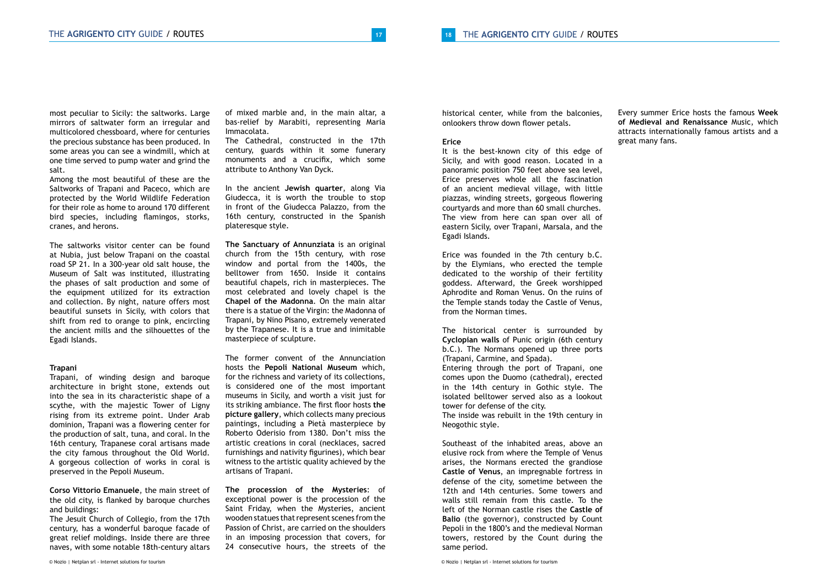most peculiar to Sicily: the saltworks. Large mirrors of saltwater form an irregular and multicolored chessboard, where for centuries the precious substance has been produced. In some areas you can see a windmill, which at one time served to pump water and grind the salt.

Among the most beautiful of these are the Saltworks of Trapani and Paceco, which are protected by the World Wildlife Federation for their role as home to around 170 different bird species, including flamingos, storks, cranes, and herons.

The saltworks visitor center can be found at Nubia, just below Trapani on the coastal road SP 21. In a 300-year old salt house, the Museum of Salt was instituted, illustrating the phases of salt production and some of the equipment utilized for its extraction and collection. By night, nature offers most beautiful sunsets in Sicily, with colors that shift from red to orange to pink, encircling the ancient mills and the silhouettes of the Egadi Islands.

### **Trapani**

Trapani, of winding design and baroque architecture in bright stone, extends out into the sea in its characteristic shape of a scythe, with the majestic Tower of Ligny rising from its extreme point. Under Arab dominion, Trapani was a flowering center for the production of salt, tuna, and coral. In the 16th century, Trapanese coral artisans made the city famous throughout the Old World. A gorgeous collection of works in coral is preserved in the Pepoli Museum.

**Corso Vittorio Emanuele**, the main street of the old city, is flanked by baroque churches and buildings:

The Jesuit Church of Collegio, from the 17th century, has a wonderful baroque facade of great relief moldings. Inside there are three naves, with some notable 18th-century altars

of mixed marble and, in the main altar, a bas-relief by Marabiti, representing Maria Immacolata.

The Cathedral, constructed in the 17th century, guards within it some funerary monuments and a crucifix, which some attribute to Anthony Van Dyck.

In the ancient **Jewish quarter**, along Via Giudecca, it is worth the trouble to stop in front of the Giudecca Palazzo, from the 16th century, constructed in the Spanish plateresque style.

**The Sanctuary of Annunziata** is an original church from the 15th century, with rose window and portal from the 1400s, the belltower from 1650. Inside it contains beautiful chapels, rich in masterpieces. The most celebrated and lovely chapel is the **Chapel of the Madonna**. On the main altar there is a statue of the Virgin: the Madonna of Trapani, by Nino Pisano, extremely venerated by the Trapanese. It is a true and inimitable masterpiece of sculpture.

The former convent of the Annunciation hosts the **Pepoli National Museum** which, for the richness and variety of its collections, is considered one of the most important museums in Sicily, and worth a visit just for its striking ambiance. The first floor hosts **the picture gallery**, which collects many precious paintings, including a Pietà masterpiece by Roberto Oderisio from 1380. Don't miss the artistic creations in coral (necklaces, sacred furnishings and nativity figurines), which bear witness to the artistic quality achieved by the artisans of Trapani.

**The procession of the Mysteries**: of exceptional power is the procession of the Saint Friday, when the Mysteries, ancient wooden statues that represent scenes from the Passion of Christ, are carried on the shoulders in an imposing procession that covers, for 24 consecutive hours, the streets of the historical center, while from the balconies, onlookers throw down flower petals.

## **Erice**

It is the best-known city of this edge of Sicily, and with good reason. Located in a panoramic position 750 feet above sea level, Erice preserves whole all the fascination of an ancient medieval village, with little piazzas, winding streets, gorgeous flowering courtyards and more than 60 small churches. The view from here can span over all of eastern Sicily, over Trapani, Marsala, and the Egadi Islands.

Erice was founded in the 7th century b.C. by the Elymians, who erected the temple dedicated to the worship of their fertility goddess. Afterward, the Greek worshipped Aphrodite and Roman Venus. On the ruins of the Temple stands today the Castle of Venus, from the Norman times.

The historical center is surrounded by **Cyclopian walls** of Punic origin (6th century b.C.). The Normans opened up three ports (Trapani, Carmine, and Spada). Entering through the port of Trapani, one comes upon the Duomo (cathedral), erected in the 14th century in Gothic style. The isolated belltower served also as a lookout tower for defense of the city. The inside was rebuilt in the 19th century in Neogothic style.

Southeast of the inhabited areas, above an elusive rock from where the Temple of Venus arises, the Normans erected the grandiose **Castle of Venus**, an impregnable fortress in defense of the city, sometime between the 12th and 14th centuries. Some towers and walls still remain from this castle. To the left of the Norman castle rises the **Castle of Balio** (the governor), constructed by Count Pepoli in the 1800's and the medieval Norman towers, restored by the Count during the same period.

Every summer Erice hosts the famous **Week of Medieval and Renaissance** Music, which attracts internationally famous artists and a great many fans.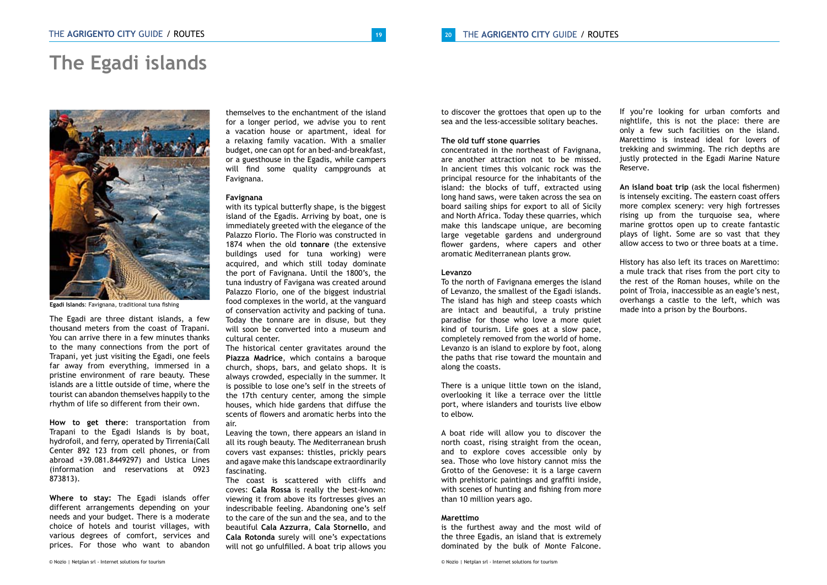# **The Egadi islands**



**Egadi Islands**: Favignana, traditional tuna fishing

The Egadi are three distant islands, a few thousand meters from the coast of Trapani. You can arrive there in a few minutes thanks to the many connections from the port of Trapani, yet just visiting the Egadi, one feels far away from everything, immersed in a pristine environment of rare beauty. These islands are a little outside of time, where the tourist can abandon themselves happily to the rhythm of life so different from their own.

**How to get there**: transportation from Trapani to the Egadi Islands is by boat, hydrofoil, and ferry, operated by Tirrenia(Call Center 892 123 from cell phones, or from abroad +39.081.8449297) and Ustica Lines (information and reservations at 0923 873813).

**Where to stay:** The Egadi islands offer different arrangements depending on your needs and your budget. There is a moderate choice of hotels and tourist villages, with various degrees of comfort, services and prices. For those who want to abandon

themselves to the enchantment of the island for a longer period, we advise you to rent a vacation house or apartment, ideal for a relaxing family vacation. With a smaller budget, one can opt for an bed-and-breakfast, or a guesthouse in the Egadis, while campers will find some quality campgrounds at Favignana.

### **Favignana**

with its typical butterfly shape, is the biggest island of the Egadis. Arriving by boat, one is immediately greeted with the elegance of the Palazzo Florio. The Florio was constructed in 1874 when the old **tonnare** (the extensive buildings used for tuna working) were acquired, and which still today dominate the port of Favignana. Until the 1800's, the tuna industry of Favigana was created around Palazzo Florio, one of the biggest industrial food complexes in the world, at the vanguard of conservation activity and packing of tuna. Today the tonnare are in disuse, but they will soon be converted into a museum and cultural center.

The historical center gravitates around the **Piazza Madrice**, which contains a baroque church, shops, bars, and gelato shops. It is always crowded, especially in the summer. It is possible to lose one's self in the streets of the 17th century center, among the simple houses, which hide gardens that diffuse the scents of flowers and aromatic herbs into the air.

Leaving the town, there appears an island in all its rough beauty. The Mediterranean brush covers vast expanses: thistles, prickly pears and agave make this landscape extraordinarily fascinating.

The coast is scattered with cliffs and coves: **Cala Rossa** is really the best-known: viewing it from above its fortresses gives an indescribable feeling. Abandoning one's self to the care of the sun and the sea, and to the beautiful **Cala Azzurra**, **Cala Stornello**, and **Cala Rotonda** surely will one's expectations will not go unfulfilled. A boat trip allows you

to discover the grottoes that open up to the sea and the less-accessible solitary beaches.

# **The old tuff stone quarries**

concentrated in the northeast of Favignana, are another attraction not to be missed. In ancient times this volcanic rock was the principal resource for the inhabitants of the island: the blocks of tuff, extracted using long hand saws, were taken across the sea on board sailing ships for export to all of Sicily and North Africa. Today these quarries, which make this landscape unique, are becoming large vegetable gardens and underground flower gardens, where capers and other aromatic Mediterranean plants grow.

# **Levanzo**

To the north of Favignana emerges the island of Levanzo, the smallest of the Egadi islands. The island has high and steep coasts which are intact and beautiful, a truly pristine paradise for those who love a more quiet kind of tourism. Life goes at a slow pace, completely removed from the world of home. Levanzo is an island to explore by foot, along the paths that rise toward the mountain and along the coasts.

There is a unique little town on the island, overlooking it like a terrace over the little port, where islanders and tourists live elbow to elbow.

A boat ride will allow you to discover the north coast, rising straight from the ocean, and to explore coves accessible only by sea. Those who love history cannot miss the Grotto of the Genovese: it is a large cavern with prehistoric paintings and graffiti inside, with scenes of hunting and fishing from more than 10 million years ago.

## **Marettimo**

is the furthest away and the most wild of the three Egadis, an island that is extremely dominated by the bulk of Monte Falcone.

If you're looking for urban comforts and nightlife, this is not the place: there are only a few such facilities on the island. Marettimo is instead ideal for lovers of trekking and swimming. The rich depths are justly protected in the Egadi Marine Nature Reserve.

**An island boat trip** (ask the local fishermen) is intensely exciting. The eastern coast offers more complex scenery: very high fortresses rising up from the turquoise sea, where marine grottos open up to create fantastic plays of light. Some are so vast that they allow access to two or three boats at a time.

History has also left its traces on Marettimo: a mule track that rises from the port city to the rest of the Roman houses, while on the point of Troia, inaccessible as an eagle's nest, overhangs a castle to the left, which was made into a prison by the Bourbons.